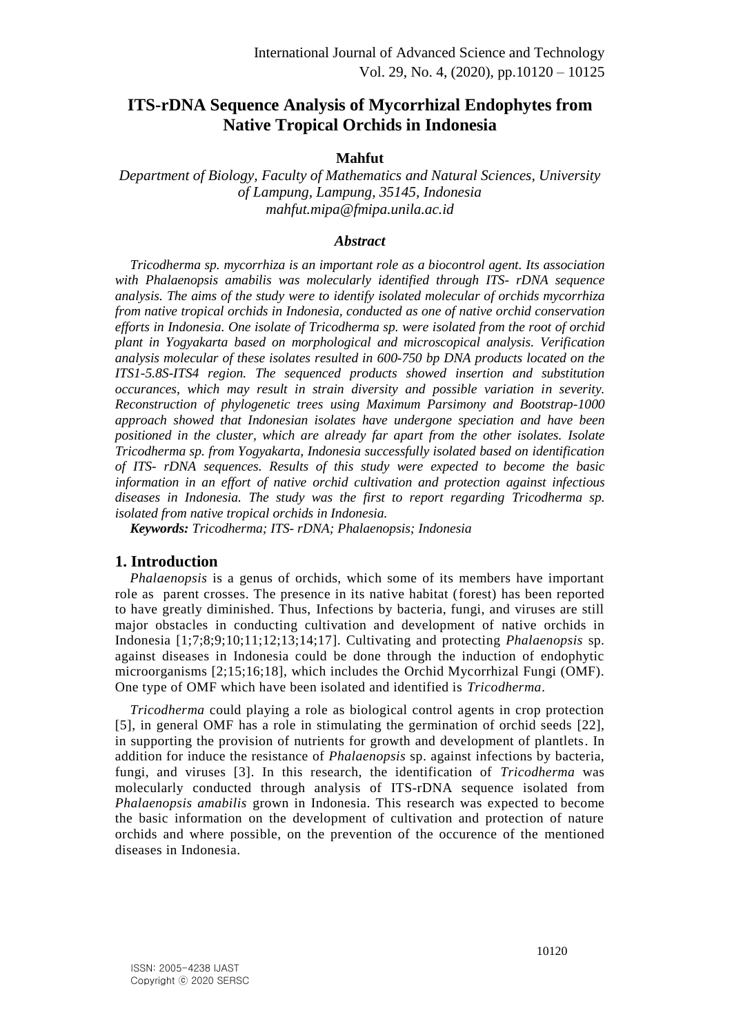# **ITS-rDNA Sequence Analysis of Mycorrhizal Endophytes from Native Tropical Orchids in Indonesia**

#### **Mahfut**

*Department of Biology, Faculty of Mathematics and Natural Sciences, University of Lampung, Lampung, 35145, Indonesia mahfut.mipa@fmipa.unila.ac.id*

#### *Abstract*

*Tricodherma sp. mycorrhiza is an important role as a biocontrol agent. Its association with Phalaenopsis amabilis was molecularly identified through ITS- rDNA sequence analysis. The aims of the study were to identify isolated molecular of orchids mycorrhiza from native tropical orchids in Indonesia, conducted as one of native orchid conservation efforts in Indonesia. One isolate of Tricodherma sp. were isolated from the root of orchid plant in Yogyakarta based on morphological and microscopical analysis. Verification analysis molecular of these isolates resulted in 600-750 bp DNA products located on the ITS1-5.8S-ITS4 region. The sequenced products showed insertion and substitution occurances, which may result in strain diversity and possible variation in severity. Reconstruction of phylogenetic trees using Maximum Parsimony and Bootstrap-1000 approach showed that Indonesian isolates have undergone speciation and have been positioned in the cluster, which are already far apart from the other isolates. Isolate Tricodherma sp. from Yogyakarta, Indonesia successfully isolated based on identification of ITS- rDNA sequences. Results of this study were expected to become the basic information in an effort of native orchid cultivation and protection against infectious diseases in Indonesia. The study was the first to report regarding Tricodherma sp. isolated from native tropical orchids in Indonesia.*

*Keywords: Tricodherma; ITS- rDNA; Phalaenopsis; Indonesia*

#### **1. Introduction**

*Phalaenopsis* is a genus of orchids, which some of its members have important role as parent crosses. The presence in its native habitat (forest) has been reported to have greatly diminished. Thus, Infections by bacteria, fungi, and viruses are still major obstacles in conducting cultivation and development of native orchids in Indonesia [1;7;8;9;10;11;12;13;14;17]. Cultivating and protecting *Phalaenopsis* sp. against diseases in Indonesia could be done through the induction of endophytic microorganisms [2;15;16;18], which includes the Orchid Mycorrhizal Fungi (OMF). One type of OMF which have been isolated and identified is *Tricodherma*.

*Tricodherma* could playing a role as biological control agents in crop protection [5], in general OMF has a role in stimulating the germination of orchid seeds [22], in supporting the provision of nutrients for growth and development of plantlets. In addition for induce the resistance of *Phalaenopsis* sp. against infections by bacteria, fungi, and viruses [3]. In this research, the identification of *Tricodherma* was molecularly conducted through analysis of ITS-rDNA sequence isolated from *Phalaenopsis amabilis* grown in Indonesia. This research was expected to become the basic information on the development of cultivation and protection of nature orchids and where possible, on the prevention of the occurence of the mentioned diseases in Indonesia.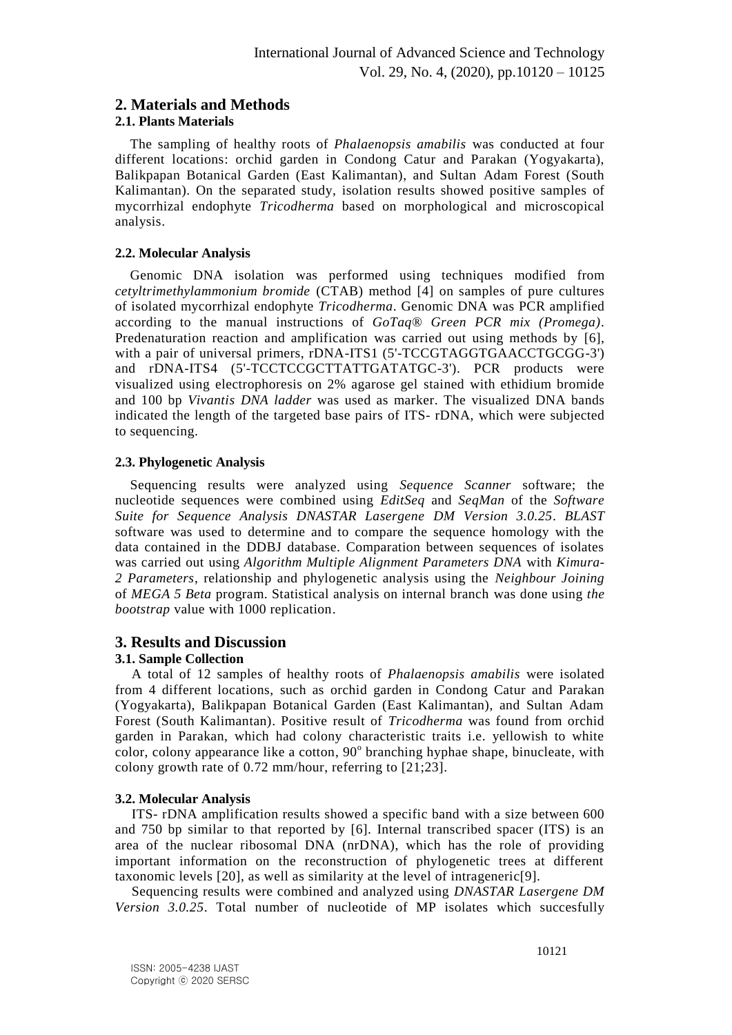## **2. Materials and Methods**

## **2.1. Plants Materials**

The sampling of healthy roots of *Phalaenopsis amabilis* was conducted at four different locations: orchid garden in Condong Catur and Parakan (Yogyakarta), Balikpapan Botanical Garden (East Kalimantan), and Sultan Adam Forest (South Kalimantan). On the separated study, isolation results showed positive samples of mycorrhizal endophyte *Tricodherma* based on morphological and microscopical analysis.

## **2.2. Molecular Analysis**

Genomic DNA isolation was performed using techniques modified from *cetyltrimethylammonium bromide* (CTAB) method [4] on samples of pure cultures of isolated mycorrhizal endophyte *Tricodherma*. Genomic DNA was PCR amplified according to the manual instructions of *GoTaq® Green PCR mix (Promega)*. Predenaturation reaction and amplification was carried out using methods by [6], with a pair of universal primers, rDNA-ITS1 (5'-TCCGTAGGTGAACCTGCGG-3') and rDNA-ITS4 (5'-TCCTCCGCTTATTGATATGC-3'). PCR products were visualized using electrophoresis on 2% agarose gel stained with ethidium bromide and 100 bp *Vivantis DNA ladder* was used as marker. The visualized DNA bands indicated the length of the targeted base pairs of ITS- rDNA, which were subjected to sequencing.

## **2.3. Phylogenetic Analysis**

Sequencing results were analyzed using *Sequence Scanner* software; the nucleotide sequences were combined using *EditSeq* and *SeqMan* of the *Software Suite for Sequence Analysis DNASTAR Lasergene DM Version 3.0.25*. *BLAST* software was used to determine and to compare the sequence homology with the data contained in the DDBJ database. Comparation between sequences of isolates was carried out using *Algorithm Multiple Alignment Parameters DNA* with *Kimura-2 Parameters*, relationship and phylogenetic analysis using the *Neighbour Joining*  of *MEGA 5 Beta* program. Statistical analysis on internal branch was done using *the bootstrap* value with 1000 replication.

## **3. Results and Discussion**

## **3.1. Sample Collection**

A total of 12 samples of healthy roots of *Phalaenopsis amabilis* were isolated from 4 different locations, such as orchid garden in Condong Catur and Parakan (Yogyakarta), Balikpapan Botanical Garden (East Kalimantan), and Sultan Adam Forest (South Kalimantan). Positive result of *Tricodherma* was found from orchid garden in Parakan, which had colony characteristic traits i.e. yellowish to white color, colony appearance like a cotton, 90° branching hyphae shape, binucleate, with colony growth rate of 0.72 mm/hour, referring to [21;23].

## **3.2. Molecular Analysis**

ITS- rDNA amplification results showed a specific band with a size between 600 and 750 bp similar to that reported by [6]. Internal transcribed spacer (ITS) is an area of the nuclear ribosomal DNA (nrDNA), which has the role of providing important information on the reconstruction of phylogenetic trees at different taxonomic levels [20], as well as similarity at the level of intrageneric[9].

Sequencing results were combined and analyzed using *DNASTAR Lasergene DM Version 3.0.25*. Total number of nucleotide of MP isolates which succesfully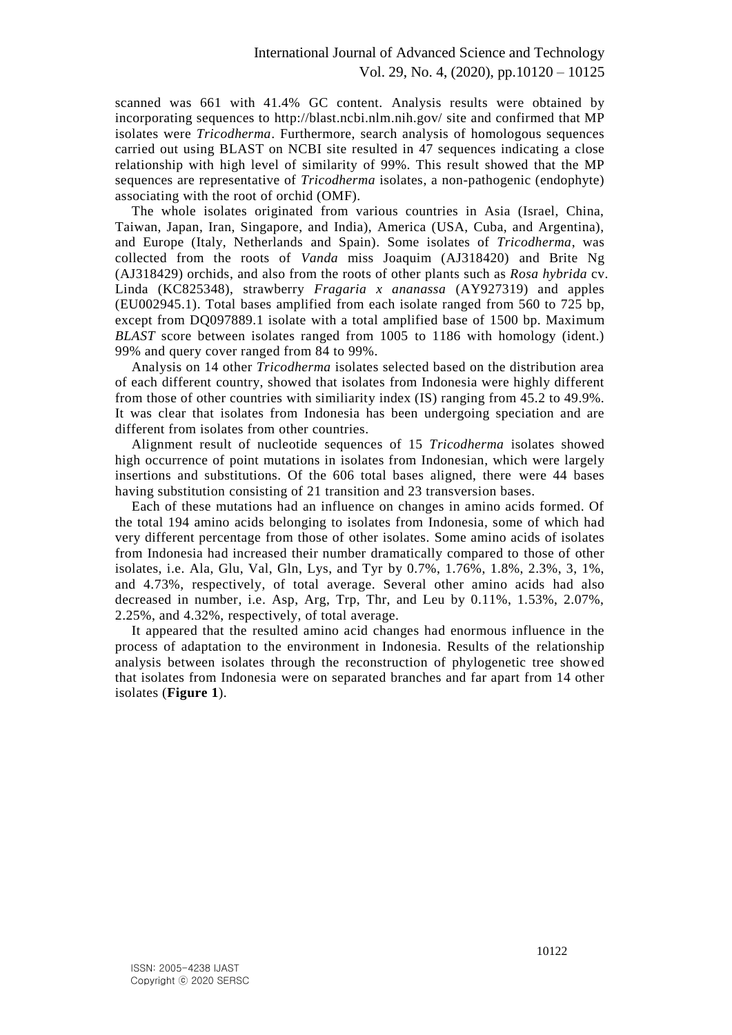scanned was 661 with 41.4% GC content. Analysis results were obtained by incorporating sequences to<http://blast.ncbi.nlm.nih.gov/> site and confirmed that MP isolates were *Tricodherma*. Furthermore, search analysis of homologous sequences carried out using BLAST on NCBI site resulted in 47 sequences indicating a close relationship with high level of similarity of 99%. This result showed that the MP sequences are representative of *Tricodherma* isolates, a non-pathogenic (endophyte) associating with the root of orchid (OMF).

The whole isolates originated from various countries in Asia (Israel, China, Taiwan, Japan, Iran, Singapore, and India), America (USA, Cuba, and Argentina), and Europe (Italy, Netherlands and Spain). Some isolates of *Tricodherma*, was collected from the roots of *Vanda* miss Joaquim (AJ318420) and Brite Ng (AJ318429) orchids, and also from the roots of other plants such as *Rosa hybrida* cv. Linda (KC825348), strawberry *Fragaria x ananassa* (AY927319) and apples (EU002945.1). Total bases amplified from each isolate ranged from 560 to 725 bp, except from DQ097889.1 isolate with a total amplified base of 1500 bp. Maximum *BLAST* score between isolates ranged from 1005 to 1186 with homology (ident.) 99% and query cover ranged from 84 to 99%.

Analysis on 14 other *Tricodherma* isolates selected based on the distribution area of each different country, showed that isolates from Indonesia were highly different from those of other countries with similiarity index (IS) ranging from 45.2 to 49.9%. It was clear that isolates from Indonesia has been undergoing speciation and are different from isolates from other countries.

Alignment result of nucleotide sequences of 15 *Tricodherma* isolates showed high occurrence of point mutations in isolates from Indonesian, which were largely insertions and substitutions. Of the 606 total bases aligned, there were 44 bases having substitution consisting of 21 transition and 23 transversion bases.

Each of these mutations had an influence on changes in amino acids formed. Of the total 194 amino acids belonging to isolates from Indonesia, some of which had very different percentage from those of other isolates. Some amino acids of isolates from Indonesia had increased their number dramatically compared to those of other isolates, i.e. Ala, Glu, Val, Gln, Lys, and Tyr by 0.7%, 1.76%, 1.8%, 2.3%, 3, 1%, and 4.73%, respectively, of total average. Several other amino acids had also decreased in number, i.e. Asp, Arg, Trp, Thr, and Leu by 0.11%, 1.53%, 2.07%, 2.25%, and 4.32%, respectively, of total average.

It appeared that the resulted amino acid changes had enormous influence in the process of adaptation to the environment in Indonesia. Results of the relationship analysis between isolates through the reconstruction of phylogenetic tree showed that isolates from Indonesia were on separated branches and far apart from 14 other isolates (**Figure 1**).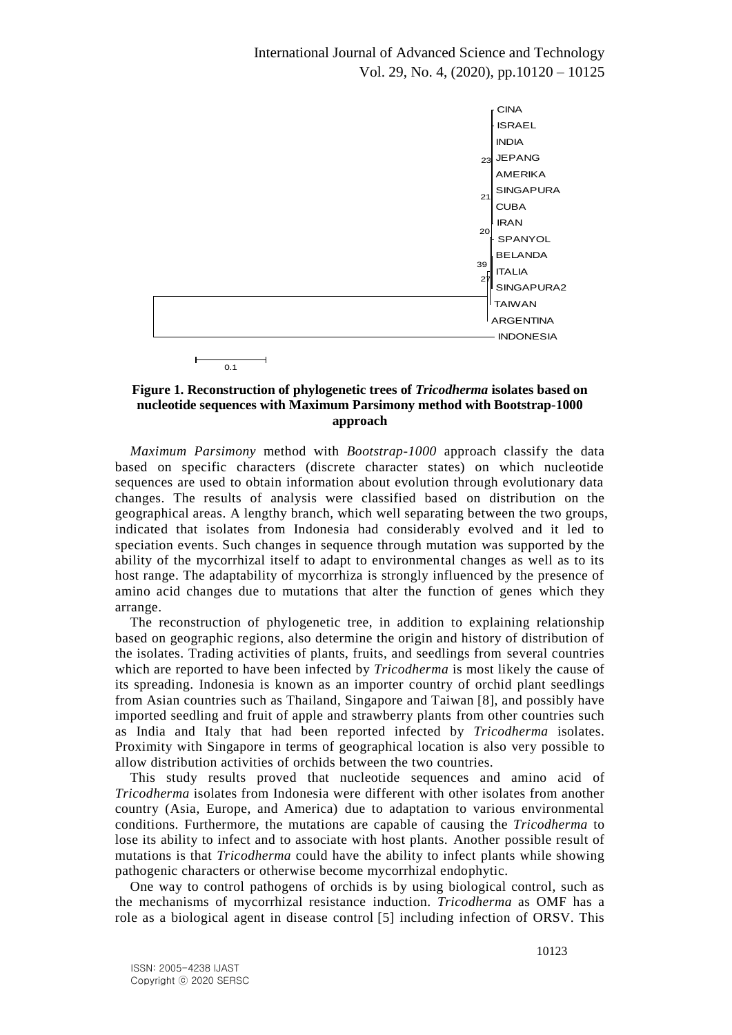International Journal of Advanced Science and Technology Vol. 29, No. 4, (2020), pp.10120 – 10125



#### **Figure 1. Reconstruction of phylogenetic trees of** *Tricodherma* **isolates based on nucleotide sequences with Maximum Parsimony method with Bootstrap-1000 approach**

*Maximum Parsimony* method with *Bootstrap-1000* approach classify the data based on specific characters (discrete character states) on which nucleotide sequences are used to obtain information about evolution through evolutionary data changes. The results of analysis were classified based on distribution on the geographical areas. A lengthy branch, which well separating between the two groups, indicated that isolates from Indonesia had considerably evolved and it led to speciation events. Such changes in sequence through mutation was supported by the ability of the mycorrhizal itself to adapt to environmental changes as well as to its host range. The adaptability of mycorrhiza is strongly influenced by the presence of amino acid changes due to mutations that alter the function of genes which they arrange.

The reconstruction of phylogenetic tree, in addition to explaining relationship based on geographic regions, also determine the origin and history of distribution of the isolates. Trading activities of plants, fruits, and seedlings from several countries which are reported to have been infected by *Tricodherma* is most likely the cause of its spreading. Indonesia is known as an importer country of orchid plant seedlings from Asian countries such as Thailand, Singapore and Taiwan [8], and possibly have imported seedling and fruit of apple and strawberry plants from other countries such as India and Italy that had been reported infected by *Tricodherma* isolates. Proximity with Singapore in terms of geographical location is also very possible to allow distribution activities of orchids between the two countries.

This study results proved that nucleotide sequences and amino acid of *Tricodherma* isolates from Indonesia were different with other isolates from another country (Asia, Europe, and America) due to adaptation to various environmental conditions. Furthermore, the mutations are capable of causing the *Tricodherma* to lose its ability to infect and to associate with host plants. Another possible result of mutations is that *Tricodherma* could have the ability to infect plants while showing pathogenic characters or otherwise become mycorrhizal endophytic.

One way to control pathogens of orchids is by using biological control, such as the mechanisms of mycorrhizal resistance induction. *Tricodherma* as OMF has a role as a biological agent in disease control [5] including infection of ORSV. This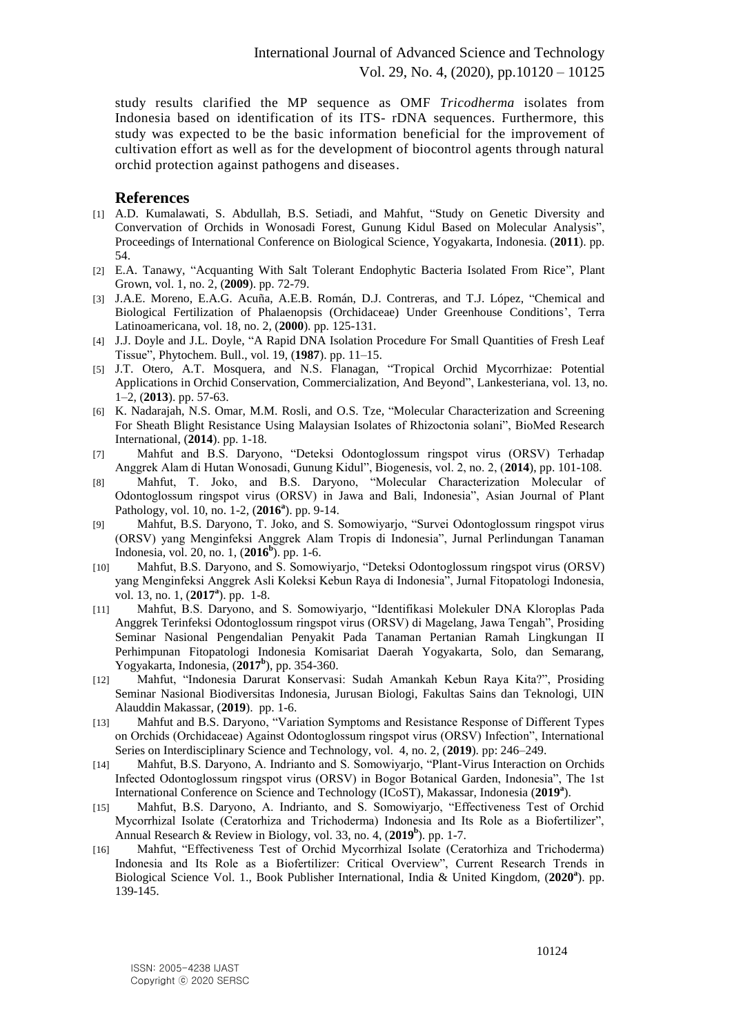study results clarified the MP sequence as OMF *Tricodherma* isolates from Indonesia based on identification of its ITS- rDNA sequences. Furthermore, this study was expected to be the basic information beneficial for the improvement of cultivation effort as well as for the development of biocontrol agents through natural orchid protection against pathogens and diseases.

#### **References**

- [1] A.D. Kumalawati, S. Abdullah, B.S. Setiadi, and Mahfut, "Study on Genetic Diversity and Convervation of Orchids in Wonosadi Forest, Gunung Kidul Based on Molecular Analysis", Proceedings of International Conference on Biological Science, Yogyakarta, Indonesia. (**2011**). pp. 54.
- [2] E.A. Tanawy, "Acquanting With Salt Tolerant Endophytic Bacteria Isolated From Rice", Plant Grown, vol. 1, no. 2, (**2009**). pp. 72-79.
- [3] J.A.E. Moreno, E.A.G. Acuña, A.E.B. Román, D.J. Contreras, and T.J. López, "Chemical and Biological Fertilization of Phalaenopsis (Orchidaceae) Under Greenhouse Conditions', Terra Latinoamericana, vol. 18, no. 2, (**2000**). pp. 125-131.
- [4] J.J. Doyle and J.L. Doyle, "A Rapid DNA Isolation Procedure For Small Quantities of Fresh Leaf Tissue", Phytochem. Bull., vol. 19, (**1987**). pp. 11–15.
- [5] J.T. Otero, A.T. Mosquera, and N.S. Flanagan, "Tropical Orchid Mycorrhizae: Potential Applications in Orchid Conservation, Commercialization, And Beyond", Lankesteriana, vol. 13, no. 1–2, (**2013**). pp. 57-63.
- [6] K. Nadarajah, N.S. Omar, M.M. Rosli, and O.S. Tze, "Molecular Characterization and Screening For Sheath Blight Resistance Using Malaysian Isolates of Rhizoctonia solani", BioMed Research International, (**2014**). pp. 1-18.
- [7] Mahfut and B.S. Daryono, "Deteksi Odontoglossum ringspot virus (ORSV) Terhadap Anggrek Alam di Hutan Wonosadi, Gunung Kidul", Biogenesis, vol. 2, no. 2, (**2014**), pp. 101-108.
- [8] Mahfut, T. Joko, and B.S. Daryono, "Molecular Characterization Molecular of Odontoglossum ringspot virus (ORSV) in Jawa and Bali, Indonesia", Asian Journal of Plant Pathology, vol. 10, no. 1-2, (**2016<sup>a</sup>** ). pp. 9-14.
- [9] Mahfut, B.S. Daryono, T. Joko, and S. Somowiyarjo, "Survei Odontoglossum ringspot virus (ORSV) yang Menginfeksi Anggrek Alam Tropis di Indonesia", Jurnal Perlindungan Tanaman Indonesia, vol. 20, no. 1, (**2016<sup>b</sup>** ). pp. 1-6.
- [10] Mahfut, B.S. Daryono, and S. Somowiyarjo, "Deteksi Odontoglossum ringspot virus (ORSV) yang Menginfeksi Anggrek Asli Koleksi Kebun Raya di Indonesia", Jurnal Fitopatologi Indonesia, vol. 13, no. 1, (**2017<sup>a</sup>** ). pp. 1-8.
- [11] Mahfut, B.S. Daryono, and S. Somowiyarjo, "Identifikasi Molekuler DNA Kloroplas Pada Anggrek Terinfeksi Odontoglossum ringspot virus (ORSV) di Magelang, Jawa Tengah", Prosiding Seminar Nasional Pengendalian Penyakit Pada Tanaman Pertanian Ramah Lingkungan II Perhimpunan Fitopatologi Indonesia Komisariat Daerah Yogyakarta, Solo, dan Semarang, Yogyakarta, Indonesia, (**2017<sup>b</sup>** ), pp. 354-360.
- [12] Mahfut, "Indonesia Darurat Konservasi: Sudah Amankah Kebun Raya Kita?", Prosiding Seminar Nasional Biodiversitas Indonesia, Jurusan Biologi, Fakultas Sains dan Teknologi, UIN Alauddin Makassar, (**2019**). pp. 1-6.
- [13] Mahfut and B.S. Daryono, "Variation Symptoms and Resistance Response of Different Types on Orchids (Orchidaceae) Against Odontoglossum ringspot virus (ORSV) Infection", International Series on Interdisciplinary Science and Technology, vol. 4, no. 2, (**2019**). pp: 246–249.
- [14] Mahfut, B.S. Daryono, A. Indrianto and S. Somowiyarjo, "Plant-Virus Interaction on Orchids Infected Odontoglossum ringspot virus (ORSV) in Bogor Botanical Garden, Indonesia", The 1st International Conference on Science and Technology (ICoST), Makassar, Indonesia (**2019<sup>a</sup>** ).
- [15] Mahfut, B.S. Daryono, A. Indrianto, and S. Somowiyarjo, "Effectiveness Test of Orchid Mycorrhizal Isolate (Ceratorhiza and Trichoderma) Indonesia and Its Role as a Biofertilizer", Annual Research & Review in Biology, vol. 33, no. 4, (**2019<sup>b</sup>** ). pp. 1-7.
- [16] Mahfut, "Effectiveness Test of Orchid Mycorrhizal Isolate (Ceratorhiza and Trichoderma) Indonesia and Its Role as a Biofertilizer: Critical Overview", Current Research Trends in Biological Science Vol. 1., Book Publisher International, India & United Kingdom, (**2020<sup>a</sup>** ). pp. 139-145.